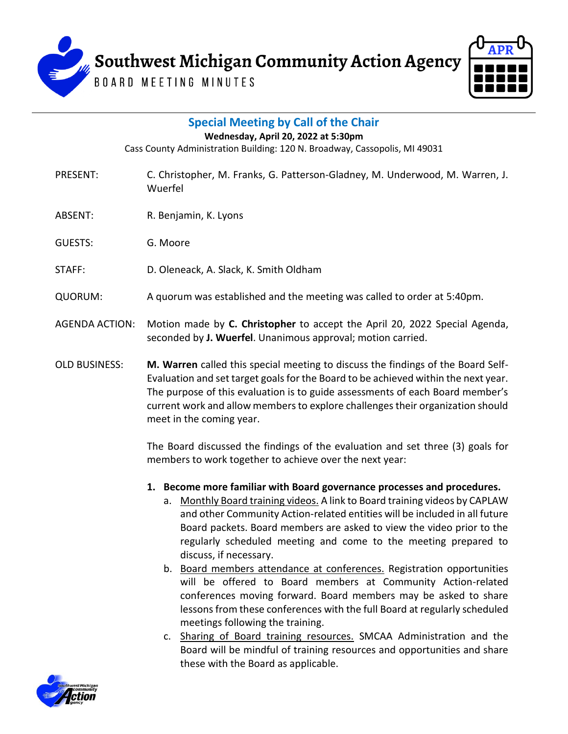



| <b>Special Meeting by Call of the Chair</b><br>Wednesday, April 20, 2022 at 5:30pm<br>Cass County Administration Building: 120 N. Broadway, Cassopolis, MI 49031 |                                                                                                                                                                                                                                                                                                                                                                       |
|------------------------------------------------------------------------------------------------------------------------------------------------------------------|-----------------------------------------------------------------------------------------------------------------------------------------------------------------------------------------------------------------------------------------------------------------------------------------------------------------------------------------------------------------------|
| <b>PRESENT:</b>                                                                                                                                                  | C. Christopher, M. Franks, G. Patterson-Gladney, M. Underwood, M. Warren, J.<br>Wuerfel                                                                                                                                                                                                                                                                               |
| ABSENT:                                                                                                                                                          | R. Benjamin, K. Lyons                                                                                                                                                                                                                                                                                                                                                 |
| <b>GUESTS:</b>                                                                                                                                                   | G. Moore                                                                                                                                                                                                                                                                                                                                                              |
| STAFF:                                                                                                                                                           | D. Oleneack, A. Slack, K. Smith Oldham                                                                                                                                                                                                                                                                                                                                |
| <b>QUORUM:</b>                                                                                                                                                   | A quorum was established and the meeting was called to order at 5:40pm.                                                                                                                                                                                                                                                                                               |
| <b>AGENDA ACTION:</b>                                                                                                                                            | Motion made by C. Christopher to accept the April 20, 2022 Special Agenda,<br>seconded by J. Wuerfel. Unanimous approval; motion carried.                                                                                                                                                                                                                             |
| <b>OLD BUSINESS:</b>                                                                                                                                             | M. Warren called this special meeting to discuss the findings of the Board Self-<br>Evaluation and set target goals for the Board to be achieved within the next year.<br>The purpose of this evaluation is to guide assessments of each Board member's<br>current work and allow members to explore challenges their organization should<br>meet in the coming year. |
|                                                                                                                                                                  | The Board discussed the findings of the evaluation and set three (3) goals for                                                                                                                                                                                                                                                                                        |

members to work together to achieve over the next year:

**1. Become more familiar with Board governance processes and procedures.** 

- a. Monthly Board training videos. A link to Board training videos by CAPLAW and other Community Action-related entities will be included in all future Board packets. Board members are asked to view the video prior to the regularly scheduled meeting and come to the meeting prepared to discuss, if necessary.
- b. Board members attendance at conferences. Registration opportunities will be offered to Board members at Community Action-related conferences moving forward. Board members may be asked to share lessons from these conferences with the full Board at regularly scheduled meetings following the training.
- c. Sharing of Board training resources. SMCAA Administration and the Board will be mindful of training resources and opportunities and share these with the Board as applicable.